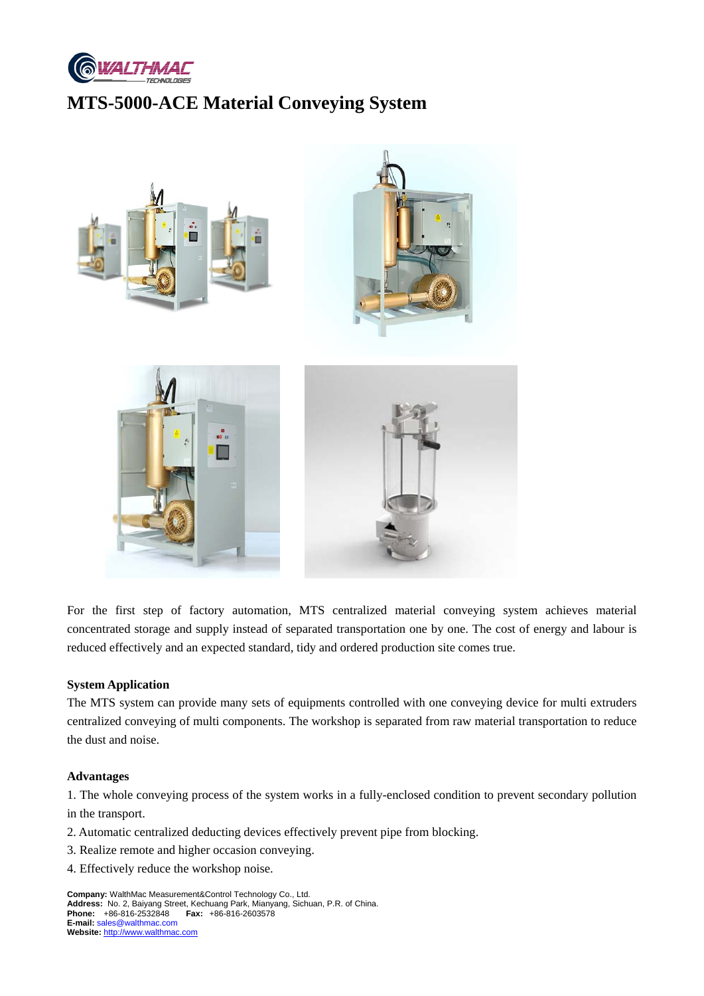

# **MTS-5000-ACE Material Conveying System**



For the first step of factory automation, MTS centralized material conveying system achieves material concentrated storage and supply instead of separated transportation one by one. The cost of energy and labour is reduced effectively and an expected standard, tidy and ordered production site comes true.

### **System Application**

The MTS system can provide many sets of equipments controlled with one conveying device for multi extruders centralized conveying of multi components. The workshop is separated from raw material transportation to reduce the dust and noise.

#### **Advantages**

1. The whole conveying process of the system works in a fully-enclosed condition to prevent secondary pollution in the transport.

- 2. Automatic centralized deducting devices effectively prevent pipe from blocking.
- 3. Realize remote and higher occasion conveying.
- 4. Effectively reduce the workshop noise.

**Company:** WalthMac Measurement&Control Technology Co., Ltd. **Address:** No. 2, Baiyang Street, Kechuang Park, Mianyang, Sichuan, P.R. of China. **Phone:** +86-816-2532848 **Fax:** +86-816-2603578 **E-mail:** sales@walthmac.com **Website:** http://www.walthmac.com